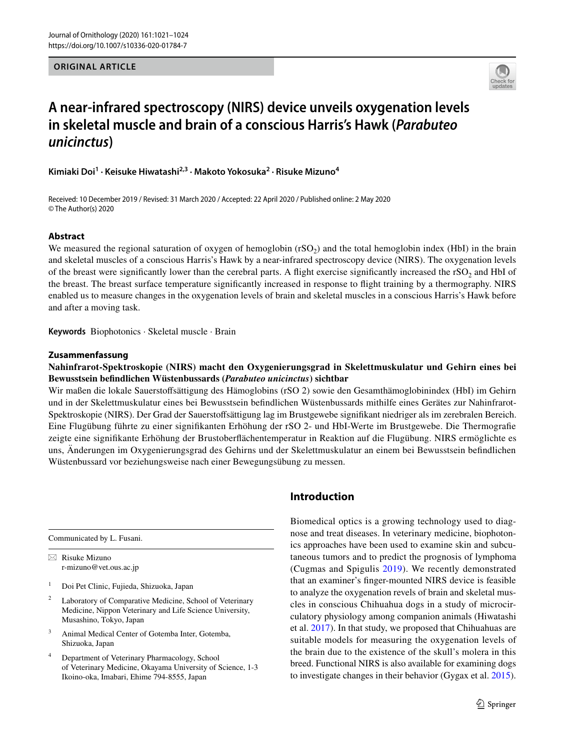## **ORIGINAL ARTICLE**



# **A near‑infrared spectroscopy (NIRS) device unveils oxygenation levels in skeletal muscle and brain of a conscious Harris's Hawk (***Parabuteo unicinctus***)**

**Kimiaki Doi<sup>1</sup> · Keisuke Hiwatashi2,3 · Makoto Yokosuka2 · Risuke Mizuno4**

Received: 10 December 2019 / Revised: 31 March 2020 / Accepted: 22 April 2020 / Published online: 2 May 2020 © The Author(s) 2020

## **Abstract**

We measured the regional saturation of oxygen of hemoglobin  $(rSO<sub>2</sub>)$  and the total hemoglobin index (HbI) in the brain and skeletal muscles of a conscious Harris's Hawk by a near-infrared spectroscopy device (NIRS). The oxygenation levels of the breast were significantly lower than the cerebral parts. A flight exercise significantly increased the  $rSO<sub>2</sub>$  and HbI of the breast. The breast surface temperature signifcantly increased in response to fight training by a thermography. NIRS enabled us to measure changes in the oxygenation levels of brain and skeletal muscles in a conscious Harris's Hawk before and after a moving task.

**Keywords** Biophotonics · Skeletal muscle · Brain

## **Zusammenfassung**

# **Nahinfrarot-Spektroskopie (NIRS) macht den Oxygenierungsgrad in Skelettmuskulatur und Gehirn eines bei Bewusstsein befndlichen Wüstenbussards (***Parabuteo unicinctus***) sichtbar**

Wir maßen die lokale Sauerstofsättigung des Hämoglobins (rSO 2) sowie den Gesamthämoglobinindex (HbI) im Gehirn und in der Skelettmuskulatur eines bei Bewusstsein befndlichen Wüstenbussards mithilfe eines Gerätes zur Nahinfrarot-Spektroskopie (NIRS). Der Grad der Sauerstofsättigung lag im Brustgewebe signifkant niedriger als im zerebralen Bereich. Eine Flugübung führte zu einer signifkanten Erhöhung der rSO 2- und HbI-Werte im Brustgewebe. Die Thermografe zeigte eine signifkante Erhöhung der Brustoberfächentemperatur in Reaktion auf die Flugübung. NIRS ermöglichte es uns, Änderungen im Oxygenierungsgrad des Gehirns und der Skelettmuskulatur an einem bei Bewusstsein befndlichen Wüstenbussard vor beziehungsweise nach einer Bewegungsübung zu messen.

Communicated by L. Fusani.

 $\boxtimes$  Risuke Mizuno r-mizuno@vet.ous.ac.jp

- <sup>1</sup> Doi Pet Clinic, Fujieda, Shizuoka, Japan
- <sup>2</sup> Laboratory of Comparative Medicine, School of Veterinary Medicine, Nippon Veterinary and Life Science University, Musashino, Tokyo, Japan
- <sup>3</sup> Animal Medical Center of Gotemba Inter, Gotemba, Shizuoka, Japan
- <sup>4</sup> Department of Veterinary Pharmacology, School of Veterinary Medicine, Okayama University of Science, 1-3 Ikoino-oka, Imabari, Ehime 794-8555, Japan

# **Introduction**

Biomedical optics is a growing technology used to diagnose and treat diseases. In veterinary medicine, biophotonics approaches have been used to examine skin and subcutaneous tumors and to predict the prognosis of lymphoma (Cugmas and Spigulis [2019](#page-3-0)). We recently demonstrated that an examiner's fnger-mounted NIRS device is feasible to analyze the oxygenation revels of brain and skeletal muscles in conscious Chihuahua dogs in a study of microcirculatory physiology among companion animals (Hiwatashi et al. [2017](#page-3-1)). In that study, we proposed that Chihuahuas are suitable models for measuring the oxygenation levels of the brain due to the existence of the skull's molera in this breed. Functional NIRS is also available for examining dogs to investigate changes in their behavior (Gygax et al. [2015](#page-3-2)).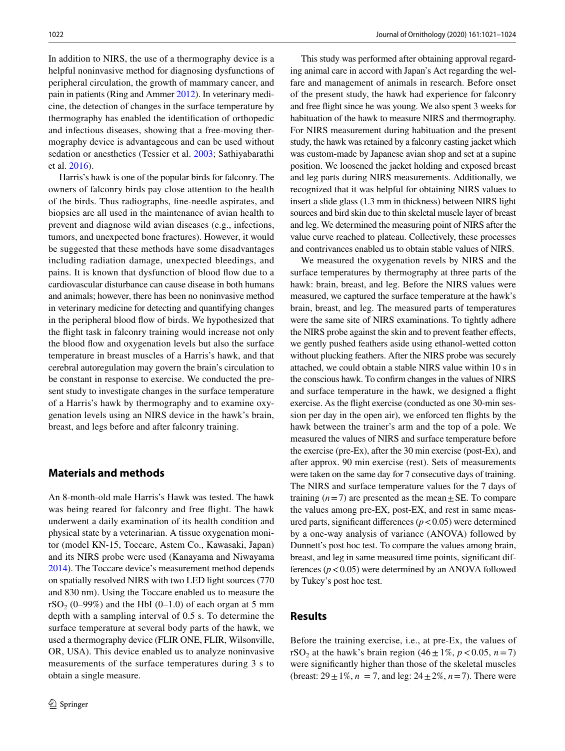In addition to NIRS, the use of a thermography device is a helpful noninvasive method for diagnosing dysfunctions of peripheral circulation, the growth of mammary cancer, and pain in patients (Ring and Ammer [2012\)](#page-3-3). In veterinary medicine, the detection of changes in the surface temperature by thermography has enabled the identifcation of orthopedic and infectious diseases, showing that a free-moving thermography device is advantageous and can be used without sedation or anesthetics (Tessier et al. [2003;](#page-3-4) Sathiyabarathi et al. [2016](#page-3-5)).

Harris's hawk is one of the popular birds for falconry. The owners of falconry birds pay close attention to the health of the birds. Thus radiographs, fne-needle aspirates, and biopsies are all used in the maintenance of avian health to prevent and diagnose wild avian diseases (e.g., infections, tumors, and unexpected bone fractures). However, it would be suggested that these methods have some disadvantages including radiation damage, unexpected bleedings, and pains. It is known that dysfunction of blood flow due to a cardiovascular disturbance can cause disease in both humans and animals; however, there has been no noninvasive method in veterinary medicine for detecting and quantifying changes in the peripheral blood fow of birds. We hypothesized that the fight task in falconry training would increase not only the blood fow and oxygenation levels but also the surface temperature in breast muscles of a Harris's hawk, and that cerebral autoregulation may govern the brain's circulation to be constant in response to exercise. We conducted the present study to investigate changes in the surface temperature of a Harris's hawk by thermography and to examine oxygenation levels using an NIRS device in the hawk's brain, breast, and legs before and after falconry training.

## **Materials and methods**

An 8-month-old male Harris's Hawk was tested. The hawk was being reared for falconry and free fight. The hawk underwent a daily examination of its health condition and physical state by a veterinarian. A tissue oxygenation monitor (model KN-15, Toccare, Astem Co., Kawasaki, Japan) and its NIRS probe were used (Kanayama and Niwayama [2014](#page-3-6)). The Toccare device's measurement method depends on spatially resolved NIRS with two LED light sources (770 and 830 nm). Using the Toccare enabled us to measure the rSO<sub>2</sub> (0–99%) and the HbI (0–1.0) of each organ at 5 mm depth with a sampling interval of 0.5 s. To determine the surface temperature at several body parts of the hawk, we used a thermography device (FLIR ONE, FLIR, Wilsonville, OR, USA). This device enabled us to analyze noninvasive measurements of the surface temperatures during 3 s to obtain a single measure.

This study was performed after obtaining approval regarding animal care in accord with Japan's Act regarding the welfare and management of animals in research. Before onset of the present study, the hawk had experience for falconry and free fight since he was young. We also spent 3 weeks for habituation of the hawk to measure NIRS and thermography. For NIRS measurement during habituation and the present study, the hawk was retained by a falconry casting jacket which was custom-made by Japanese avian shop and set at a supine position. We loosened the jacket holding and exposed breast and leg parts during NIRS measurements. Additionally, we recognized that it was helpful for obtaining NIRS values to insert a slide glass (1.3 mm in thickness) between NIRS light sources and bird skin due to thin skeletal muscle layer of breast and leg. We determined the measuring point of NIRS after the value curve reached to plateau. Collectively, these processes and contrivances enabled us to obtain stable values of NIRS.

We measured the oxygenation revels by NIRS and the surface temperatures by thermography at three parts of the hawk: brain, breast, and leg. Before the NIRS values were measured, we captured the surface temperature at the hawk's brain, breast, and leg. The measured parts of temperatures were the same site of NIRS examinations. To tightly adhere the NIRS probe against the skin and to prevent feather efects, we gently pushed feathers aside using ethanol-wetted cotton without plucking feathers. After the NIRS probe was securely attached, we could obtain a stable NIRS value within 10 s in the conscious hawk. To confrm changes in the values of NIRS and surface temperature in the hawk, we designed a fight exercise. As the fight exercise (conducted as one 30-min session per day in the open air), we enforced ten fights by the hawk between the trainer's arm and the top of a pole. We measured the values of NIRS and surface temperature before the exercise (pre-Ex), after the 30 min exercise (post-Ex), and after approx. 90 min exercise (rest). Sets of measurements were taken on the same day for 7 consecutive days of training. The NIRS and surface temperature values for the 7 days of training  $(n=7)$  are presented as the mean $\pm$ SE. To compare the values among pre-EX, post-EX, and rest in same measured parts, significant differences  $(p < 0.05)$  were determined by a one-way analysis of variance (ANOVA) followed by Dunnett's post hoc test. To compare the values among brain, breast, and leg in same measured time points, signifcant differences  $(p < 0.05)$  were determined by an ANOVA followed by Tukey's post hoc test.

## **Results**

Before the training exercise, i.e., at pre-Ex, the values of rSO<sub>2</sub> at the hawk's brain region  $(46 \pm 1\%, p < 0.05, n = 7)$ were signifcantly higher than those of the skeletal muscles (breast:  $29 \pm 1\%$ ,  $n = 7$ , and leg:  $24 \pm 2\%$ ,  $n = 7$ ). There were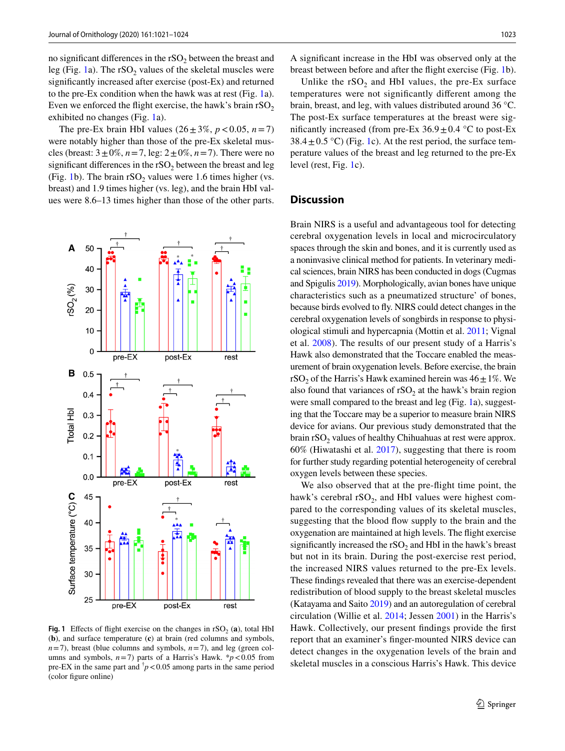no significant differences in the  $rSO<sub>2</sub>$  between the breast and leg (Fig. [1](#page-2-0)a). The  $rSO_2$  values of the skeletal muscles were signifcantly increased after exercise (post-Ex) and returned to the pre-Ex condition when the hawk was at rest (Fig. [1a](#page-2-0)). Even we enforced the flight exercise, the hawk's brain  $rSO<sub>2</sub>$ exhibited no changes (Fig. [1a](#page-2-0)).

The pre-Ex brain HbI values  $(26 \pm 3\%, p < 0.05, n = 7)$ were notably higher than those of the pre-Ex skeletal muscles (breast:  $3 \pm 0\%$ ,  $n = 7$ , leg:  $2 \pm 0\%$ ,  $n = 7$ ). There were no significant differences in the  $rSO<sub>2</sub>$  between the breast and leg (Fig. [1](#page-2-0)b). The brain  $rSO<sub>2</sub>$  values were 1.6 times higher (vs. breast) and 1.9 times higher (vs. leg), and the brain HbI values were 8.6–13 times higher than those of the other parts.



<span id="page-2-0"></span>**Fig. 1** Effects of flight exercise on the changes in  $rSO_2$  (a), total HbI (**b**), and surface temperature (**c**) at brain (red columns and symbols,  $n=7$ ), breast (blue columns and symbols,  $n=7$ ), and leg (green columns and symbols,  $n=7$ ) parts of a Harris's Hawk.  $* p < 0.05$  from pre-EX in the same part and  $\bar{p}$  < 0.05 among parts in the same period (color fgure online)

A signifcant increase in the HbI was observed only at the breast between before and after the fight exercise (Fig. [1](#page-2-0)b).

Unlike the  $rSO_2$  and HbI values, the pre-Ex surface temperatures were not signifcantly diferent among the brain, breast, and leg, with values distributed around 36 °C. The post-Ex surface temperatures at the breast were significantly increased (from pre-Ex  $36.9 \pm 0.4$  °C to post-Ex  $38.4 \pm 0.5$  °C) (Fig. [1c](#page-2-0)). At the rest period, the surface temperature values of the breast and leg returned to the pre-Ex level (rest, Fig. [1](#page-2-0)c).

## **Discussion**

Brain NIRS is a useful and advantageous tool for detecting cerebral oxygenation levels in local and microcirculatory spaces through the skin and bones, and it is currently used as a noninvasive clinical method for patients. In veterinary medical sciences, brain NIRS has been conducted in dogs (Cugmas and Spigulis [2019\)](#page-3-0). Morphologically, avian bones have unique characteristics such as a pneumatized structure' of bones, because birds evolved to fy. NIRS could detect changes in the cerebral oxygenation levels of songbirds in response to physiological stimuli and hypercapnia (Mottin et al. [2011](#page-3-7); Vignal et al. [2008\)](#page-3-8). The results of our present study of a Harris's Hawk also demonstrated that the Toccare enabled the measurement of brain oxygenation levels. Before exercise, the brain rSO<sub>2</sub> of the Harris's Hawk examined herein was  $46 \pm 1\%$ . We also found that variances of  $rSO<sub>2</sub>$  at the hawk's brain region were small compared to the breast and leg (Fig. [1](#page-2-0)a), suggesting that the Toccare may be a superior to measure brain NIRS device for avians. Our previous study demonstrated that the brain  $rSO<sub>2</sub>$  values of healthy Chihuahuas at rest were approx. 60% (Hiwatashi et al. [2017\)](#page-3-1), suggesting that there is room for further study regarding potential heterogeneity of cerebral oxygen levels between these species.

We also observed that at the pre-fight time point, the hawk's cerebral  $rSO_2$ , and HbI values were highest compared to the corresponding values of its skeletal muscles, suggesting that the blood fow supply to the brain and the oxygenation are maintained at high levels. The fight exercise significantly increased the  $rSO<sub>2</sub>$  and HbI in the hawk's breast but not in its brain. During the post-exercise rest period, the increased NIRS values returned to the pre-Ex levels. These fndings revealed that there was an exercise-dependent redistribution of blood supply to the breast skeletal muscles (Katayama and Saito [2019\)](#page-3-9) and an autoregulation of cerebral circulation (Willie et al. [2014](#page-3-10); Jessen [2001](#page-3-11)) in the Harris's Hawk. Collectively, our present fndings provide the frst report that an examiner's fnger-mounted NIRS device can detect changes in the oxygenation levels of the brain and skeletal muscles in a conscious Harris's Hawk. This device